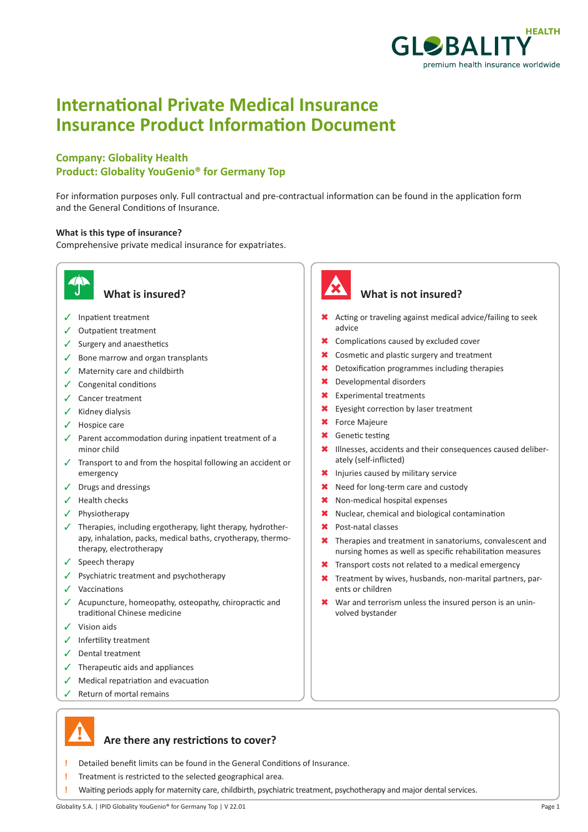

# **International Private Medical Insurance Insurance Product Information Document**

## **Company: Globality Health Product: Globality YouGenio® for Germany Top**

For information purposes only. Full contractual and pre-contractual information can be found in the application form and the General Conditions of Insurance.

### **What is this type of insurance?**

Comprehensive private medical insurance for expatriates.



- $\checkmark$  Inpatient treatment
- $\checkmark$  Outpatient treatment
- $\checkmark$  Surgery and anaesthetics
- $\checkmark$  Bone marrow and organ transplants
- $\checkmark$  Maternity care and childbirth
- $\checkmark$  Congenital conditions
- $\angle$  Cancer treatment
- $\checkmark$  Kidney dialysis
- $\checkmark$  Hospice care
- $\sqrt{ }$  Parent accommodation during inpatient treatment of a minor child
- $\checkmark$  Transport to and from the hospital following an accident or emergency
- $\checkmark$  Drugs and dressings
- $\checkmark$  Health checks
- $\checkmark$  Physiotherapy
- $\checkmark$  Therapies, including ergotherapy, light therapy, hydrotherapy, inhalation, packs, medical baths, cryotherapy, thermotherapy, electrotherapy
- $\checkmark$  Speech therapy
- $\checkmark$  Psychiatric treatment and psychotherapy
- $\checkmark$  Vaccinations
- $\sqrt{\phantom{a}}$  Acupuncture, homeopathy, osteopathy, chiropractic and traditional Chinese medicine
- $\checkmark$  Vision aids
- $\checkmark$  Infertility treatment
- $\checkmark$  Dental treatment
- $\checkmark$  Therapeutic aids and appliances
- $\sqrt{\phantom{a}}$  Medical repatriation and evacuation
- $\checkmark$  Return of mortal remains



## **What is insured? What is not insured?**

- \* Acting or traveling against medical advice/failing to seek advice
- **\*** Complications caused by excluded cover
- **\*** Cosmetic and plastic surgery and treatment
- \* Detoxification programmes including therapies
- \* Developmental disorders
- **\*** Experimental treatments
- \* Eyesight correction by laser treatment
- **\*** Force Majeure
- **\*** Genetic testing
- \* Illnesses, accidents and their consequences caused deliberately (self-inflicted)
- \* Injuries caused by military service
- \* Need for long-term care and custody
- \* Non-medical hospital expenses
- \* Nuclear, chemical and biological contamination
- \* Post-natal classes
- $\star$  Therapies and treatment in sanatoriums, convalescent and nursing homes as well as specific rehabilitation measures
- **\*** Transport costs not related to a medical emergency
- **\*** Treatment by wives, husbands, non-marital partners, parents or children
- $\star$  War and terrorism unless the insured person is an uninvolved bystander

## **Are there any restrictions to cover?**

- **!** Detailed benefit limits can be found in the General Conditions of Insurance.
- **!** Treatment is restricted to the selected geographical area.
- **!** Waiting periods apply for maternity care, childbirth, psychiatric treatment, psychotherapy and major dental services.